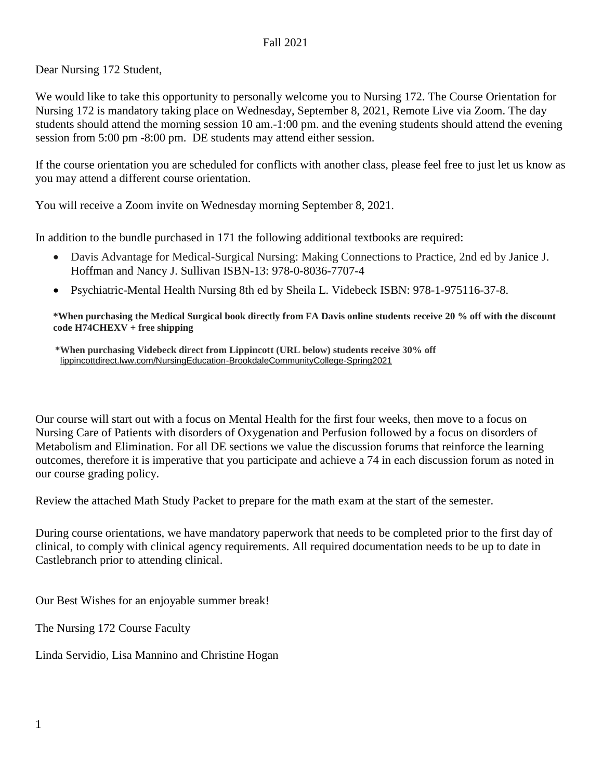#### Fall 2021

Dear Nursing 172 Student,

We would like to take this opportunity to personally welcome you to Nursing 172. The Course Orientation for Nursing 172 is mandatory taking place on Wednesday, September 8, 2021, Remote Live via Zoom. The day students should attend the morning session 10 am.-1:00 pm. and the evening students should attend the evening session from 5:00 pm -8:00 pm. DE students may attend either session.

If the course orientation you are scheduled for conflicts with another class, please feel free to just let us know as you may attend a different course orientation.

You will receive a Zoom invite on Wednesday morning September 8, 2021.

In addition to the bundle purchased in 171 the following additional textbooks are required:

- Davis Advantage for Medical-Surgical Nursing: Making Connections to Practice, 2nd ed by Janice J. Hoffman and Nancy J. Sullivan ISBN-13: 978-0-8036-7707-4
- Psychiatric-Mental Health Nursing 8th ed by Sheila L. Videbeck ISBN: 978-1-975116-37-8.

#### **\*When purchasing the Medical Surgical book directly from FA Davis online students receive 20 % off with the discount code H74CHEXV + free shipping**

 **\*When purchasing Videbeck direct from Lippincott (URL below) students receive 30% off** [lippincottdirect.lww.com/NursingEducation-BrookdaleCommunityCollege-Spring2021](about:blank)

Our course will start out with a focus on Mental Health for the first four weeks, then move to a focus on Nursing Care of Patients with disorders of Oxygenation and Perfusion followed by a focus on disorders of Metabolism and Elimination. For all DE sections we value the discussion forums that reinforce the learning outcomes, therefore it is imperative that you participate and achieve a 74 in each discussion forum as noted in our course grading policy.

Review the attached Math Study Packet to prepare for the math exam at the start of the semester.

During course orientations, we have mandatory paperwork that needs to be completed prior to the first day of clinical, to comply with clinical agency requirements. All required documentation needs to be up to date in Castlebranch prior to attending clinical.

Our Best Wishes for an enjoyable summer break!

The Nursing 172 Course Faculty

Linda Servidio, Lisa Mannino and Christine Hogan